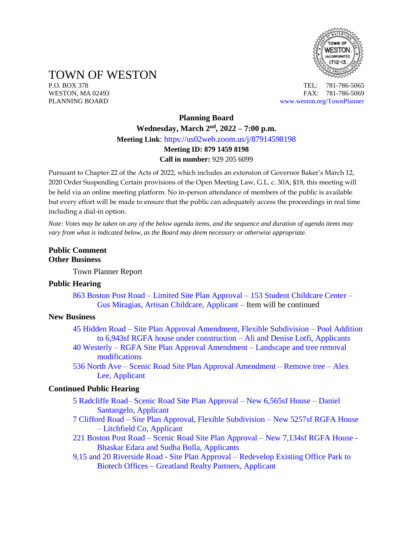

TOWN OF WESTON

P.O. BOX 378 TEL: 781-786-5065 WESTON, MA 02493 **FAX: 781-786-5069** PLANNING BOARD [www.weston.org/TownPlanner](http://www.weston.org/TownPlanner)

# **Planning Board Wednesday, March 2nd , 2022 – 7:00 p.m. Meeting Link**: <https://us02web.zoom.us/j/87914598198> **Meeting ID: 879 1459 8198 Call in number:** 929 205 6099

Pursuant to Chapter 22 of the Acts of 2022, which includes an extension of Governor Baker's March 12, 2020 Order Suspending Certain provisions of the Open Meeting Law, G.L. c. 30A, §18, this meeting will be held via an online meeting platform. No in-person attendance of members of the public is available but every effort will be made to ensure that the public can adequately access the proceedings in real time including a dial-in option.

*Note: Votes may be taken on any of the below agenda items, and the sequence and duration of agenda items may vary from what is indicated below, as the Board may deem necessary or otherwise appropriate.*

## **Public Comment Other Business**

Town Planner Report

### **Public Hearing**

863 Boston Post Road – Limited Site Plan Approval – [153 Student Childcare Center –](https://www.westonma.gov/DocumentCenter/Index/4598) [Gus Miragias, Artisan Childcare, Applicant](https://www.westonma.gov/DocumentCenter/Index/4598) – Item will be continued

#### **New Business**

- 45 Hidden Road [Site Plan Approval Amendment, Flexible Subdivision –](https://www.westonma.gov/DocumentCenter/Index/4610) Pool Addition [to 6,943sf RGFA house under construction –](https://www.westonma.gov/DocumentCenter/Index/4610) Ali and Denise Lotfi, Applicants
- 40 Westerly [RGFA Site Plan Approval Amendment –](https://www.westonma.gov/DocumentCenter/Index/4619) Landscape and tree removal [modifications](https://www.westonma.gov/DocumentCenter/Index/4619)
- 536 North Ave [Scenic Road Site Plan Approval Amendment –](https://www.westonma.gov/DocumentCenter/Index/4584) Remove tree Alex [Lee, Applicant](https://www.westonma.gov/DocumentCenter/Index/4584)

### **Continued Public Hearing**

- 5 Radcliffe Road– [Scenic Road Site Plan Approval –](https://www.westonma.gov/DocumentCenter/Index/4545) New 6,565sf House Daniel [Santangelo, Applicant](https://www.westonma.gov/DocumentCenter/Index/4545)
- 7 Clifford Road [Site Plan Approval, Flexible Subdivision –](https://www.westonma.gov/DocumentCenter/Index/4582) New 5257sf RGFA House – [Litchfield Co, Applicant](https://www.westonma.gov/DocumentCenter/Index/4582)
- 221 Boston Post Road [Scenic Road Site Plan Approval –](https://www.westonma.gov/DocumentCenter/Index/4526) New 7,134sf RGFA House [Bhaskar Edara and Sudha Bolla, Applicants](https://www.westonma.gov/DocumentCenter/Index/4526)
- 9,15 and 20 Riverside Road Site Plan Approval [Redevelop Existing Office Park to](https://www.westonma.gov/DocumentCenter/Index/4433)  Biotech Offices – [Greatland Realty Partners, Applicant](https://www.westonma.gov/DocumentCenter/Index/4433)